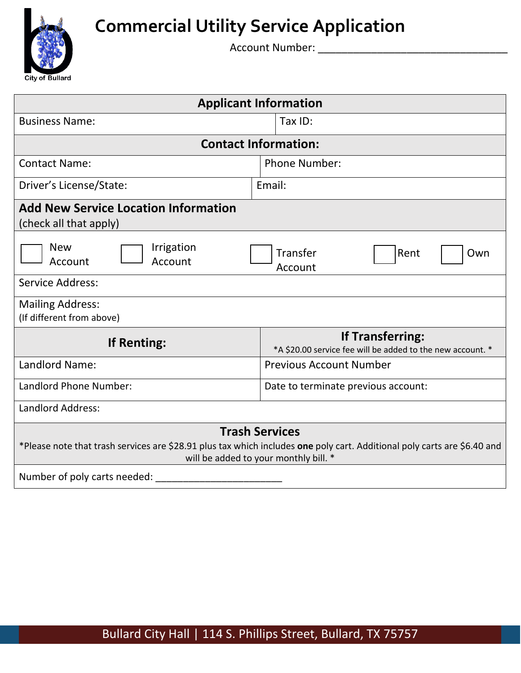

# **Commercial Utility Service Application**

Account Number: \_\_\_\_\_\_\_\_\_\_\_\_\_\_\_\_\_\_\_\_\_\_\_\_\_\_\_\_\_\_\_\_

| <b>Applicant Information</b>                                                                                                                                                               |                                                                                       |  |  |  |  |
|--------------------------------------------------------------------------------------------------------------------------------------------------------------------------------------------|---------------------------------------------------------------------------------------|--|--|--|--|
| <b>Business Name:</b>                                                                                                                                                                      | Tax ID:                                                                               |  |  |  |  |
| <b>Contact Information:</b>                                                                                                                                                                |                                                                                       |  |  |  |  |
| <b>Contact Name:</b>                                                                                                                                                                       | <b>Phone Number:</b>                                                                  |  |  |  |  |
| Driver's License/State:                                                                                                                                                                    | Email:                                                                                |  |  |  |  |
| <b>Add New Service Location Information</b><br>(check all that apply)                                                                                                                      |                                                                                       |  |  |  |  |
| <b>New</b><br>Irrigation<br>Account<br>Account                                                                                                                                             | Transfer<br>Rent<br>Own<br>Account                                                    |  |  |  |  |
| <b>Service Address:</b>                                                                                                                                                                    |                                                                                       |  |  |  |  |
| <b>Mailing Address:</b><br>(If different from above)                                                                                                                                       |                                                                                       |  |  |  |  |
| <b>If Renting:</b>                                                                                                                                                                         | <b>If Transferring:</b><br>*A \$20.00 service fee will be added to the new account. * |  |  |  |  |
| Landlord Name:                                                                                                                                                                             | <b>Previous Account Number</b>                                                        |  |  |  |  |
| Landlord Phone Number:                                                                                                                                                                     | Date to terminate previous account:                                                   |  |  |  |  |
| <b>Landlord Address:</b>                                                                                                                                                                   |                                                                                       |  |  |  |  |
| <b>Trash Services</b><br>*Please note that trash services are \$28.91 plus tax which includes one poly cart. Additional poly carts are \$6.40 and<br>will be added to your monthly bill. * |                                                                                       |  |  |  |  |
| Number of poly carts needed:                                                                                                                                                               |                                                                                       |  |  |  |  |